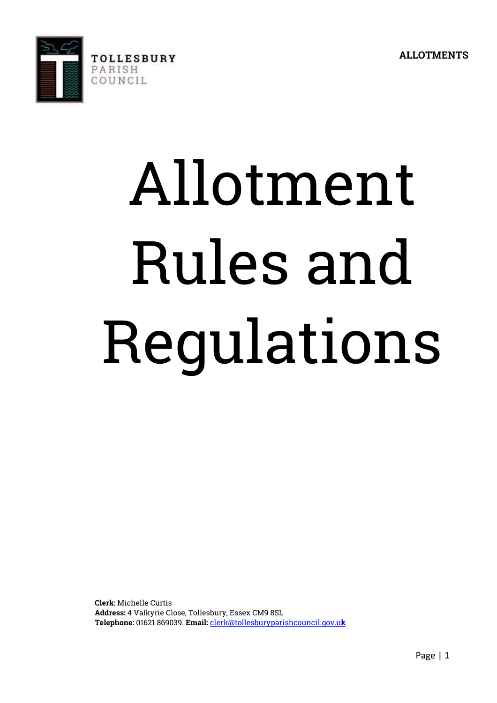

# Allotment Rules and Regulations

**Clerk:** Michelle Curtis **Address:** 4 Valkyrie Close, Tollesbury, Essex CM9 8SL **Telephone:** 01621 869039. **Email:** [clerk@tollesburyparishcouncil.gov.u](mailto:clerk@tollesburyparishcouncil.gov.uk)**k**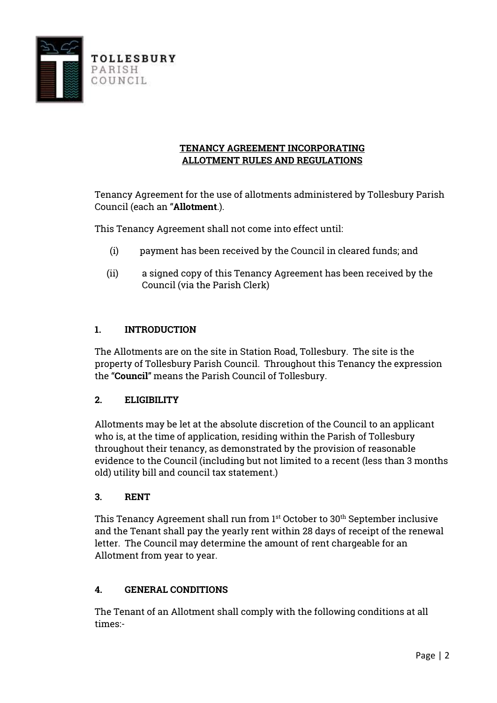

### **TENANCY AGREEMENT INCORPORATING ALLOTMENT RULES AND REGULATIONS**

Tenancy Agreement for the use of allotments administered by Tollesbury Parish Council (each an "**Allotment**.).

This Tenancy Agreement shall not come into effect until:

- (i) payment has been received by the Council in cleared funds; and
- (ii) a signed copy of this Tenancy Agreement has been received by the Council (via the Parish Clerk)

### **1. INTRODUCTION**

The Allotments are on the site in Station Road, Tollesbury. The site is the property of Tollesbury Parish Council. Throughout this Tenancy the expression the "**Council**" means the Parish Council of Tollesbury.

### **2. ELIGIBILITY**

Allotments may be let at the absolute discretion of the Council to an applicant who is, at the time of application, residing within the Parish of Tollesbury throughout their tenancy, as demonstrated by the provision of reasonable evidence to the Council (including but not limited to a recent (less than 3 months old) utility bill and council tax statement.)

### **3. RENT**

This Tenancy Agreement shall run from 1<sup>st</sup> October to 30<sup>th</sup> September inclusive and the Tenant shall pay the yearly rent within 28 days of receipt of the renewal letter. The Council may determine the amount of rent chargeable for an Allotment from year to year.

# **4. GENERAL CONDITIONS**

The Tenant of an Allotment shall comply with the following conditions at all times:-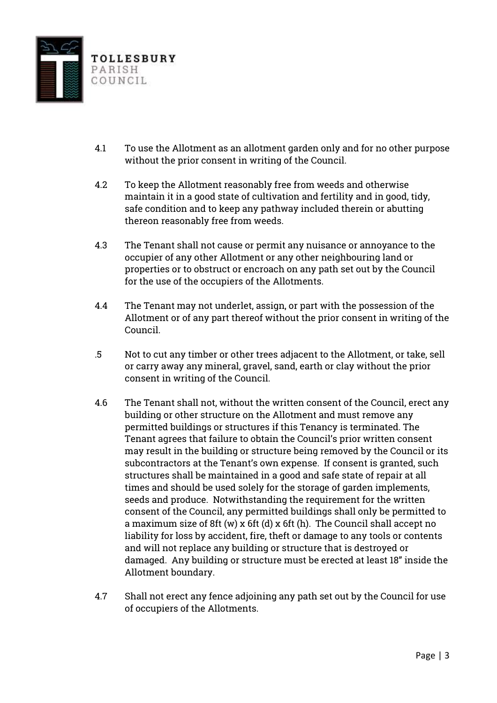

- 4.1 To use the Allotment as an allotment garden only and for no other purpose without the prior consent in writing of the Council.
- 4.2 To keep the Allotment reasonably free from weeds and otherwise maintain it in a good state of cultivation and fertility and in good, tidy, safe condition and to keep any pathway included therein or abutting thereon reasonably free from weeds.
- 4.3 The Tenant shall not cause or permit any nuisance or annoyance to the occupier of any other Allotment or any other neighbouring land or properties or to obstruct or encroach on any path set out by the Council for the use of the occupiers of the Allotments.
- 4.4 The Tenant may not underlet, assign, or part with the possession of the Allotment or of any part thereof without the prior consent in writing of the Council.
- .5 Not to cut any timber or other trees adjacent to the Allotment, or take, sell or carry away any mineral, gravel, sand, earth or clay without the prior consent in writing of the Council.
- 4.6 The Tenant shall not, without the written consent of the Council, erect any building or other structure on the Allotment and must remove any permitted buildings or structures if this Tenancy is terminated. The Tenant agrees that failure to obtain the Council's prior written consent may result in the building or structure being removed by the Council or its subcontractors at the Tenant's own expense. If consent is granted, such structures shall be maintained in a good and safe state of repair at all times and should be used solely for the storage of garden implements, seeds and produce. Notwithstanding the requirement for the written consent of the Council, any permitted buildings shall only be permitted to a maximum size of 8ft (w) x 6ft (d) x 6ft (h). The Council shall accept no liability for loss by accident, fire, theft or damage to any tools or contents and will not replace any building or structure that is destroyed or damaged. Any building or structure must be erected at least 18" inside the Allotment boundary.
- 4.7 Shall not erect any fence adjoining any path set out by the Council for use of occupiers of the Allotments.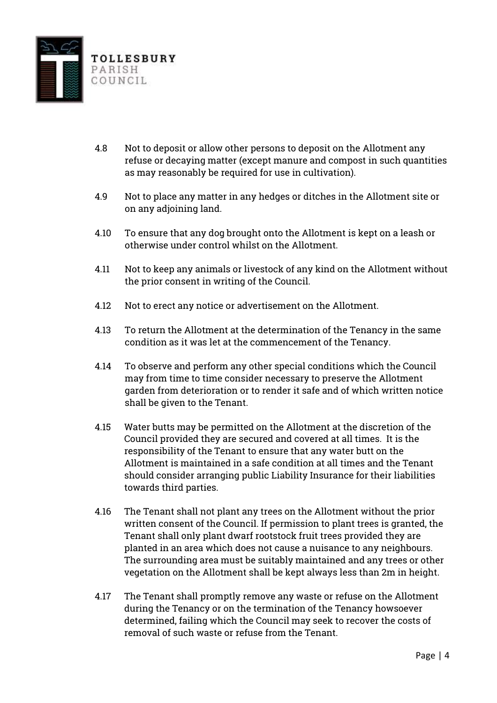

- 4.8 Not to deposit or allow other persons to deposit on the Allotment any refuse or decaying matter (except manure and compost in such quantities as may reasonably be required for use in cultivation).
- 4.9 Not to place any matter in any hedges or ditches in the Allotment site or on any adjoining land.
- 4.10 To ensure that any dog brought onto the Allotment is kept on a leash or otherwise under control whilst on the Allotment.
- 4.11 Not to keep any animals or livestock of any kind on the Allotment without the prior consent in writing of the Council.
- 4.12 Not to erect any notice or advertisement on the Allotment.
- 4.13 To return the Allotment at the determination of the Tenancy in the same condition as it was let at the commencement of the Tenancy.
- 4.14 To observe and perform any other special conditions which the Council may from time to time consider necessary to preserve the Allotment garden from deterioration or to render it safe and of which written notice shall be given to the Tenant.
- 4.15 Water butts may be permitted on the Allotment at the discretion of the Council provided they are secured and covered at all times. It is the responsibility of the Tenant to ensure that any water butt on the Allotment is maintained in a safe condition at all times and the Tenant should consider arranging public Liability Insurance for their liabilities towards third parties.
- 4.16 The Tenant shall not plant any trees on the Allotment without the prior written consent of the Council. If permission to plant trees is granted, the Tenant shall only plant dwarf rootstock fruit trees provided they are planted in an area which does not cause a nuisance to any neighbours. The surrounding area must be suitably maintained and any trees or other vegetation on the Allotment shall be kept always less than 2m in height.
- 4.17 The Tenant shall promptly remove any waste or refuse on the Allotment during the Tenancy or on the termination of the Tenancy howsoever determined, failing which the Council may seek to recover the costs of removal of such waste or refuse from the Tenant.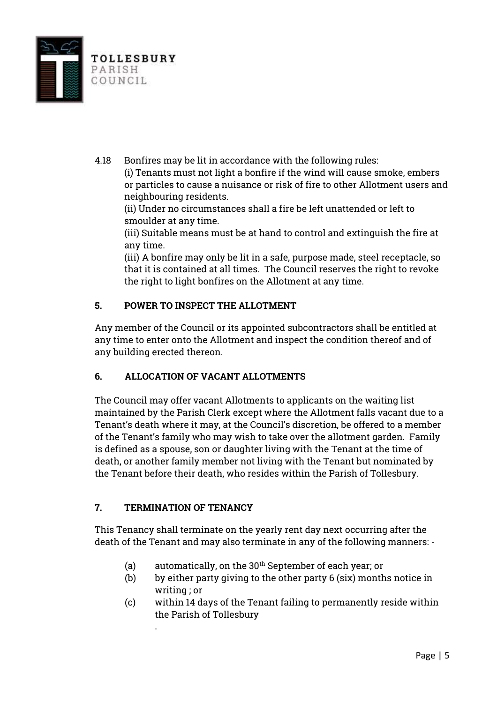

4.18 Bonfires may be lit in accordance with the following rules: (i) Tenants must not light a bonfire if the wind will cause smoke, embers or particles to cause a nuisance or risk of fire to other Allotment users and neighbouring residents.

(ii) Under no circumstances shall a fire be left unattended or left to smoulder at any time.

(iii) Suitable means must be at hand to control and extinguish the fire at any time.

(iii) A bonfire may only be lit in a safe, purpose made, steel receptacle, so that it is contained at all times. The Council reserves the right to revoke the right to light bonfires on the Allotment at any time.

# **5. POWER TO INSPECT THE ALLOTMENT**

Any member of the Council or its appointed subcontractors shall be entitled at any time to enter onto the Allotment and inspect the condition thereof and of any building erected thereon.

# **6. ALLOCATION OF VACANT ALLOTMENTS**

The Council may offer vacant Allotments to applicants on the waiting list maintained by the Parish Clerk except where the Allotment falls vacant due to a Tenant's death where it may, at the Council's discretion, be offered to a member of the Tenant's family who may wish to take over the allotment garden. Family is defined as a spouse, son or daughter living with the Tenant at the time of death, or another family member not living with the Tenant but nominated by the Tenant before their death, who resides within the Parish of Tollesbury.

# **7. TERMINATION OF TENANCY**

.

This Tenancy shall terminate on the yearly rent day next occurring after the death of the Tenant and may also terminate in any of the following manners: -

- (a) automatically, on the  $30<sup>th</sup>$  September of each year; or
- (b) by either party giving to the other party 6 (six) months notice in writing ; or
- (c) within 14 days of the Tenant failing to permanently reside within the Parish of Tollesbury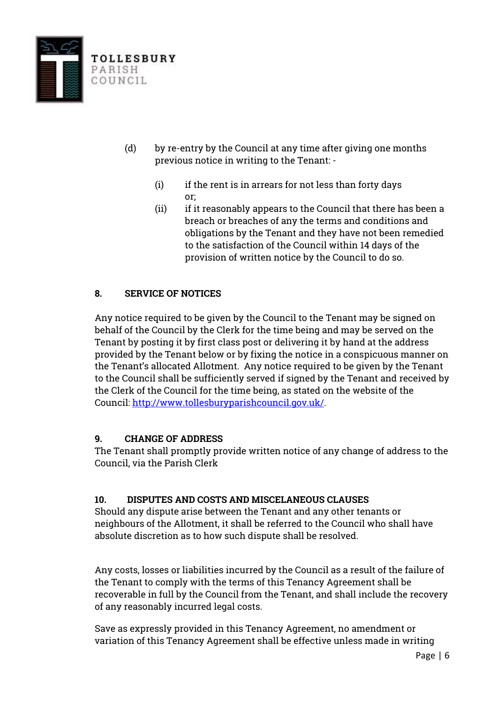

- (d) by re-entry by the Council at any time after giving one months previous notice in writing to the Tenant: -
	- (i) if the rent is in arrears for not less than forty days or;
	- (ii) if it reasonably appears to the Council that there has been a breach or breaches of any the terms and conditions and obligations by the Tenant and they have not been remedied to the satisfaction of the Council within 14 days of the provision of written notice by the Council to do so.

# **8. SERVICE OF NOTICES**

Any notice required to be given by the Council to the Tenant may be signed on behalf of the Council by the Clerk for the time being and may be served on the Tenant by posting it by first class post or delivering it by hand at the address provided by the Tenant below or by fixing the notice in a conspicuous manner on the Tenant's allocated Allotment. Any notice required to be given by the Tenant to the Council shall be sufficiently served if signed by the Tenant and received by the Clerk of the Council for the time being, as stated on the website of the Council: [http://www.tollesburyparishcouncil.gov.uk/.](http://www.tollesburyparishcouncil.gov.uk/)

# **9. CHANGE OF ADDRESS**

The Tenant shall promptly provide written notice of any change of address to the Council, via the Parish Clerk

# **10. DISPUTES AND COSTS AND MISCELANEOUS CLAUSES**

Should any dispute arise between the Tenant and any other tenants or neighbours of the Allotment, it shall be referred to the Council who shall have absolute discretion as to how such dispute shall be resolved.

Any costs, losses or liabilities incurred by the Council as a result of the failure of the Tenant to comply with the terms of this Tenancy Agreement shall be recoverable in full by the Council from the Tenant, and shall include the recovery of any reasonably incurred legal costs.

Save as expressly provided in this Tenancy Agreement, no amendment or variation of this Tenancy Agreement shall be effective unless made in writing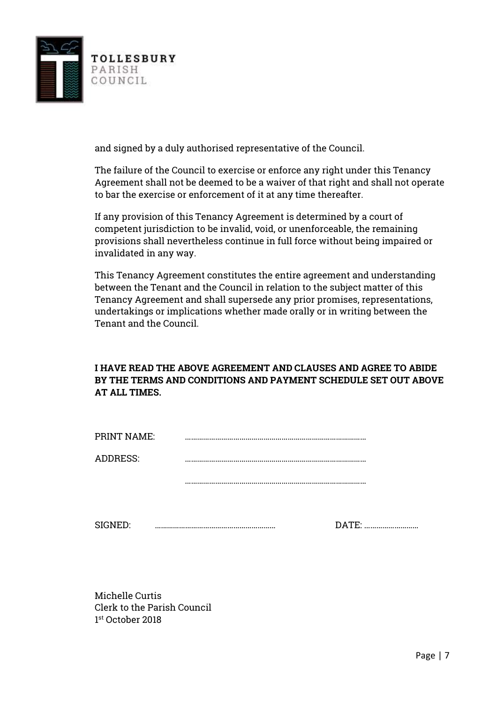

and signed by a duly authorised representative of the Council.

The failure of the Council to exercise or enforce any right under this Tenancy Agreement shall not be deemed to be a waiver of that right and shall not operate to bar the exercise or enforcement of it at any time thereafter.

If any provision of this Tenancy Agreement is determined by a court of competent jurisdiction to be invalid, void, or unenforceable, the remaining provisions shall nevertheless continue in full force without being impaired or invalidated in any way.

This Tenancy Agreement constitutes the entire agreement and understanding between the Tenant and the Council in relation to the subject matter of this Tenancy Agreement and shall supersede any prior promises, representations, undertakings or implications whether made orally or in writing between the Tenant and the Council.

### **I HAVE READ THE ABOVE AGREEMENT AND CLAUSES AND AGREE TO ABIDE BY THE TERMS AND CONDITIONS AND PAYMENT SCHEDULE SET OUT ABOVE AT ALL TIMES.**

| PRINT NAME:     |  |
|-----------------|--|
| <b>ADDRESS:</b> |  |
|                 |  |
|                 |  |

SIGNED: …………………………………………………… DATE: ………………………

Michelle Curtis Clerk to the Parish Council 1 st October 2018